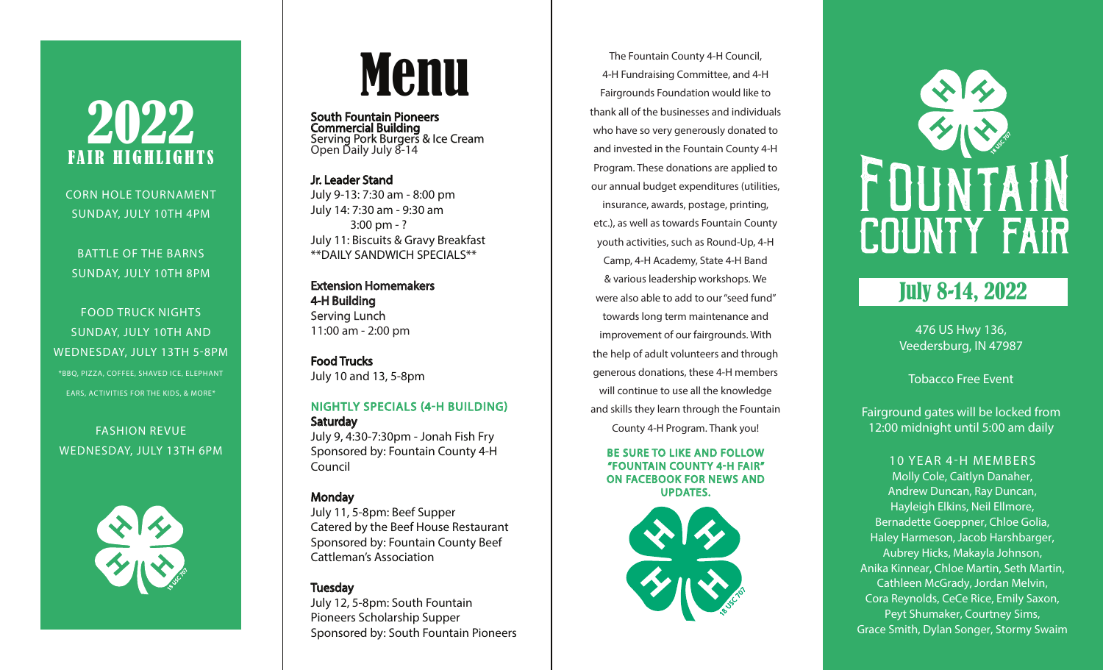# 2022 FAIR HIGHLIGHTS

CORN HOLE TOURNAMENT SUNDAY, JULY 10TH 4PM

BATTLE OF THE BARNS SUNDAY, JULY 10TH 8PM

FOOD TRUCK NIGHTS SUNDAY, JULY 10TH AND WEDNESDAY, JULY 13TH 5-8PM \*BBQ, PIZZA, COFFEE, SHAVED ICE, ELEPHANT EARS, ACTIVITIES FOR THE KIDS, & MORE\*

# FASHION REVUE



# Menu

South Fountain Pioneers Commercial Building Serving Pork Burgers & Ice Cream Open Daily July 8-14

Jr. Leader Stand July 9-13: 7:30 am - 8:00 pm July 14: 7:30 am - 9:30 am 3:00 pm - ? July 11: Biscuits & Gravy Breakfast \*\*DAILY SANDWICH SPECIALS\*\*

Extension Homemakers 4-H Building Serving Lunch 11:00 am - 2:00 pm

Food Trucks July 10 and 13, 5-8pm

#### NIGHTLY SPECIALS (4-H BUILDING) Saturday July 9, 4:30-7:30pm - Jonah Fish Fry

WEDNESDAY, JULY 13TH 6PM BE SURE TO LIKE AND FOLLOW Council Sponsored by: Fountain County 4-H Surfain County 4-H<br>"FOUNTAIN COUNTY 4-H FAIR" Council Service Service And The Surfain County 4-H FAIR" COUNTY 4-H FAIR" Council

#### Monday

July 11, 5-8pm: Beef Supper Catered by the Beef House Restaurant Sponsored by: Fountain County Beef Cattleman's Association

#### Tuesday

July 12, 5-8pm: South Fountain Pioneers Scholarship Supper Sponsored by: South Fountain Pioneers

The Fountain County 4-H Council, 4-H Fundraising Committee, and 4-H Fairgrounds Foundation would like to thank all of the businesses and individuals who have so very generously donated to and invested in the Fountain County 4-H Program. These donations are applied to our annual budget expenditures (utilities, insurance, awards, postage, printing, etc.), as well as towards Fountain County youth activities, such as Round-Up, 4-H Camp, 4-H Academy, State 4-H Band & various leadership workshops. We were also able to add to our "seed fund" towards long term maintenance and improvement of our fairgrounds. With the help of adult volunteers and through generous donations, these 4-H members will continue to use all the knowledge and skills they learn through the Fountain County 4-H Program. Thank you!

ON FACEBOOK FOR NEWS AND UPDATES.





## July 8-14, 2022

476 US Hwy 136, Veedersburg, IN 47987

Tobacco Free Event

Fairground gates will be locked from 12:00 midnight until 5:00 am daily

#### 10 YEAR 4-H MEMBERS Molly Cole, Caitlyn Danaher, Andrew Duncan, Ray Duncan, Hayleigh Elkins, Neil Ellmore, Bernadette Goeppner, Chloe Golia, Haley Harmeson, Jacob Harshbarger, Aubrey Hicks, Makayla Johnson, Anika Kinnear, Chloe Martin, Seth Martin, Cathleen McGrady, Jordan Melvin, Cora Reynolds, CeCe Rice, Emily Saxon, Peyt Shumaker, Courtney Sims, Grace Smith, Dylan Songer, Stormy Swaim